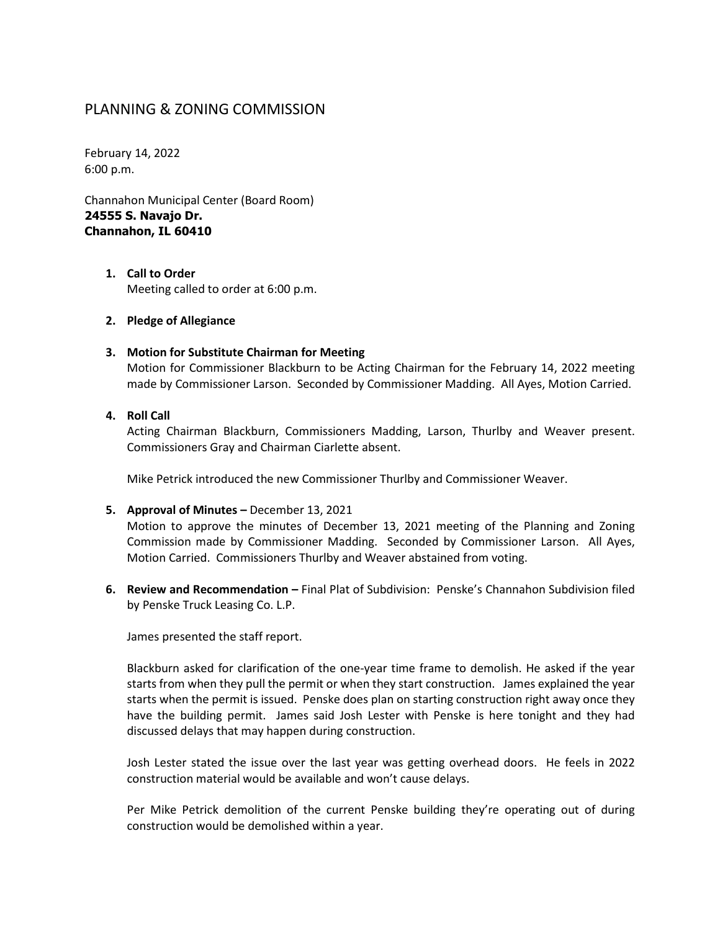# PLANNING & ZONING COMMISSION

February 14, 2022 6:00 p.m.

Channahon Municipal Center (Board Room) **24555 S. Navajo Dr. Channahon, IL 60410**

- **1. Call to Order** Meeting called to order at 6:00 p.m.
- **2. Pledge of Allegiance**

#### **3. Motion for Substitute Chairman for Meeting**

Motion for Commissioner Blackburn to be Acting Chairman for the February 14, 2022 meeting made by Commissioner Larson. Seconded by Commissioner Madding. All Ayes, Motion Carried.

#### **4. Roll Call**

Acting Chairman Blackburn, Commissioners Madding, Larson, Thurlby and Weaver present. Commissioners Gray and Chairman Ciarlette absent.

Mike Petrick introduced the new Commissioner Thurlby and Commissioner Weaver.

**5. Approval of Minutes –** December 13, 2021

Motion to approve the minutes of December 13, 2021 meeting of the Planning and Zoning Commission made by Commissioner Madding. Seconded by Commissioner Larson. All Ayes, Motion Carried. Commissioners Thurlby and Weaver abstained from voting.

**6. Review and Recommendation –** Final Plat of Subdivision: Penske's Channahon Subdivision filed by Penske Truck Leasing Co. L.P.

James presented the staff report.

Blackburn asked for clarification of the one-year time frame to demolish. He asked if the year starts from when they pull the permit or when they start construction. James explained the year starts when the permit is issued. Penske does plan on starting construction right away once they have the building permit. James said Josh Lester with Penske is here tonight and they had discussed delays that may happen during construction.

Josh Lester stated the issue over the last year was getting overhead doors. He feels in 2022 construction material would be available and won't cause delays.

Per Mike Petrick demolition of the current Penske building they're operating out of during construction would be demolished within a year.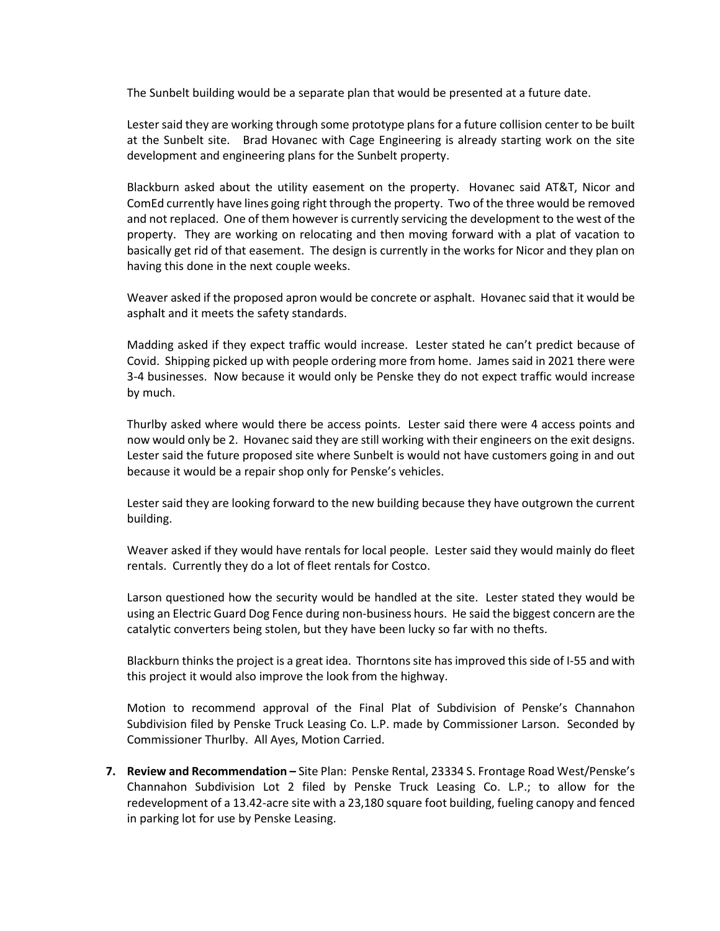The Sunbelt building would be a separate plan that would be presented at a future date.

Lester said they are working through some prototype plans for a future collision center to be built at the Sunbelt site. Brad Hovanec with Cage Engineering is already starting work on the site development and engineering plans for the Sunbelt property.

Blackburn asked about the utility easement on the property. Hovanec said AT&T, Nicor and ComEd currently have lines going right through the property. Two of the three would be removed and not replaced. One of them however is currently servicing the development to the west of the property. They are working on relocating and then moving forward with a plat of vacation to basically get rid of that easement. The design is currently in the works for Nicor and they plan on having this done in the next couple weeks.

Weaver asked if the proposed apron would be concrete or asphalt. Hovanec said that it would be asphalt and it meets the safety standards.

Madding asked if they expect traffic would increase. Lester stated he can't predict because of Covid. Shipping picked up with people ordering more from home. James said in 2021 there were 3-4 businesses. Now because it would only be Penske they do not expect traffic would increase by much.

Thurlby asked where would there be access points. Lester said there were 4 access points and now would only be 2. Hovanec said they are still working with their engineers on the exit designs. Lester said the future proposed site where Sunbelt is would not have customers going in and out because it would be a repair shop only for Penske's vehicles.

Lester said they are looking forward to the new building because they have outgrown the current building.

Weaver asked if they would have rentals for local people. Lester said they would mainly do fleet rentals. Currently they do a lot of fleet rentals for Costco.

Larson questioned how the security would be handled at the site. Lester stated they would be using an Electric Guard Dog Fence during non-business hours. He said the biggest concern are the catalytic converters being stolen, but they have been lucky so far with no thefts.

Blackburn thinks the project is a great idea. Thorntons site has improved this side of I-55 and with this project it would also improve the look from the highway.

Motion to recommend approval of the Final Plat of Subdivision of Penske's Channahon Subdivision filed by Penske Truck Leasing Co. L.P. made by Commissioner Larson. Seconded by Commissioner Thurlby. All Ayes, Motion Carried.

**7. Review and Recommendation –** Site Plan: Penske Rental, 23334 S. Frontage Road West/Penske's Channahon Subdivision Lot 2 filed by Penske Truck Leasing Co. L.P.; to allow for the redevelopment of a 13.42-acre site with a 23,180 square foot building, fueling canopy and fenced in parking lot for use by Penske Leasing.